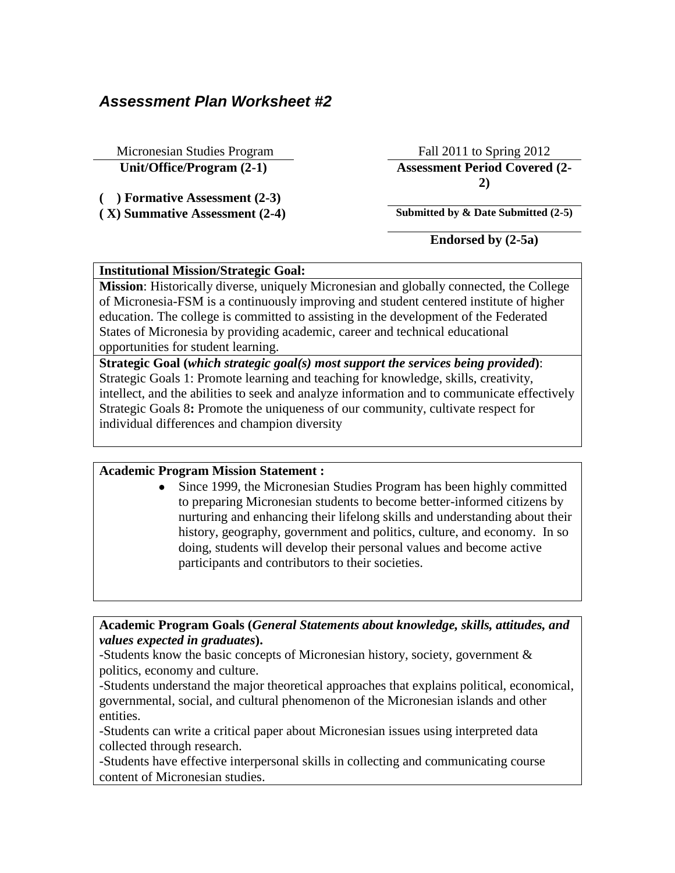# *Assessment Plan Worksheet #2*

Micronesian Studies Program Fall 2011 to Spring 2012

**( ) Formative Assessment (2-3)**

**Unit/Office/Program (2-1) Assessment Period Covered (2- 2)**

**( X) Summative Assessment (2-4) Submitted by & Date Submitted (2-5)**

**Endorsed by (2-5a)**

### **Institutional Mission/Strategic Goal:**

**Mission**: Historically diverse, uniquely Micronesian and globally connected, the College of Micronesia-FSM is a continuously improving and student centered institute of higher education. The college is committed to assisting in the development of the Federated States of Micronesia by providing academic, career and technical educational opportunities for student learning.

**Strategic Goal (***which strategic goal(s) most support the services being provided***)**: Strategic Goals 1: Promote learning and teaching for knowledge, skills, creativity, intellect, and the abilities to seek and analyze information and to communicate effectively Strategic Goals 8**:** Promote the uniqueness of our community, cultivate respect for individual differences and champion diversity

# **Academic Program Mission Statement :**

• Since 1999, the Micronesian Studies Program has been highly committed to preparing Micronesian students to become better-informed citizens by nurturing and enhancing their lifelong skills and understanding about their history, geography, government and politics, culture, and economy. In so doing, students will develop their personal values and become active participants and contributors to their societies.

**Academic Program Goals (***General Statements about knowledge, skills, attitudes, and values expected in graduates***).** 

-Students know the basic concepts of Micronesian history, society, government & politics, economy and culture.

-Students understand the major theoretical approaches that explains political, economical, governmental, social, and cultural phenomenon of the Micronesian islands and other entities.

-Students can write a critical paper about Micronesian issues using interpreted data collected through research.

-Students have effective interpersonal skills in collecting and communicating course content of Micronesian studies.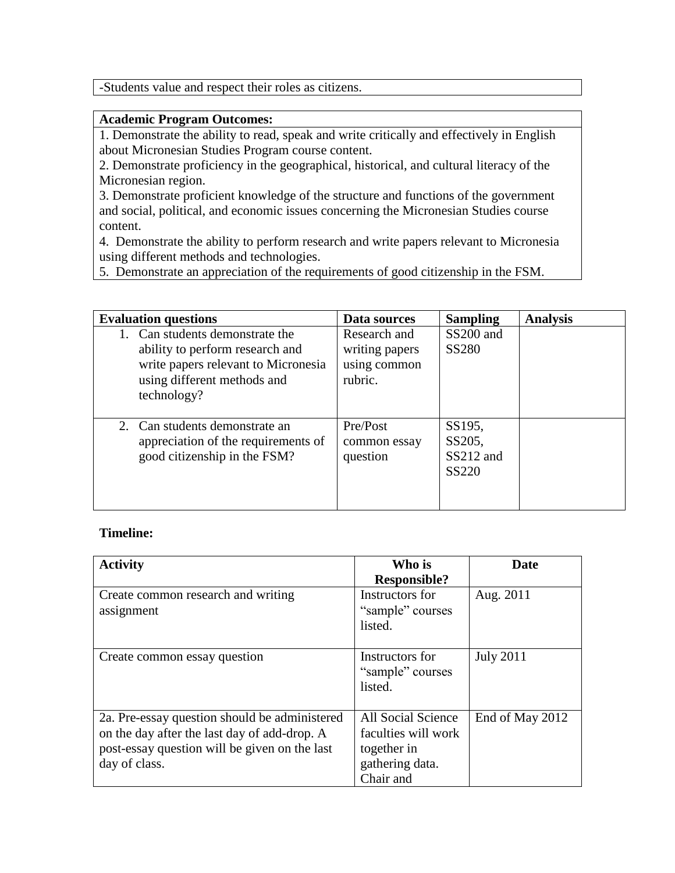-Students value and respect their roles as citizens.

#### **Academic Program Outcomes:**

1. Demonstrate the ability to read, speak and write critically and effectively in English about Micronesian Studies Program course content.

2. Demonstrate proficiency in the geographical, historical, and cultural literacy of the Micronesian region.

3. Demonstrate proficient knowledge of the structure and functions of the government and social, political, and economic issues concerning the Micronesian Studies course content.

4. Demonstrate the ability to perform research and write papers relevant to Micronesia using different methods and technologies.

5. Demonstrate an appreciation of the requirements of good citizenship in the FSM.

| <b>Evaluation questions</b>                                                                                                                             | Data sources                                              | <b>Sampling</b>                        | <b>Analysis</b> |
|---------------------------------------------------------------------------------------------------------------------------------------------------------|-----------------------------------------------------------|----------------------------------------|-----------------|
| 1. Can students demonstrate the<br>ability to perform research and<br>write papers relevant to Micronesia<br>using different methods and<br>technology? | Research and<br>writing papers<br>using common<br>rubric. | SS200 and<br><b>SS280</b>              |                 |
| 2. Can students demonstrate an<br>appreciation of the requirements of<br>good citizenship in the FSM?                                                   | Pre/Post<br>common essay<br>question                      | SS195,<br>SS205,<br>SS212 and<br>SS220 |                 |

#### **Timeline:**

| <b>Activity</b>                               | Who is              | <b>Date</b>      |
|-----------------------------------------------|---------------------|------------------|
|                                               | <b>Responsible?</b> |                  |
| Create common research and writing            | Instructors for     | Aug. 2011        |
| assignment                                    | "sample" courses    |                  |
|                                               | listed.             |                  |
|                                               |                     |                  |
| Create common essay question                  | Instructors for     | <b>July 2011</b> |
|                                               | "sample" courses    |                  |
|                                               | listed.             |                  |
|                                               |                     |                  |
| 2a. Pre-essay question should be administered | All Social Science  | End of May 2012  |
| on the day after the last day of add-drop. A  | faculties will work |                  |
| post-essay question will be given on the last | together in         |                  |
| day of class.                                 | gathering data.     |                  |
|                                               | Chair and           |                  |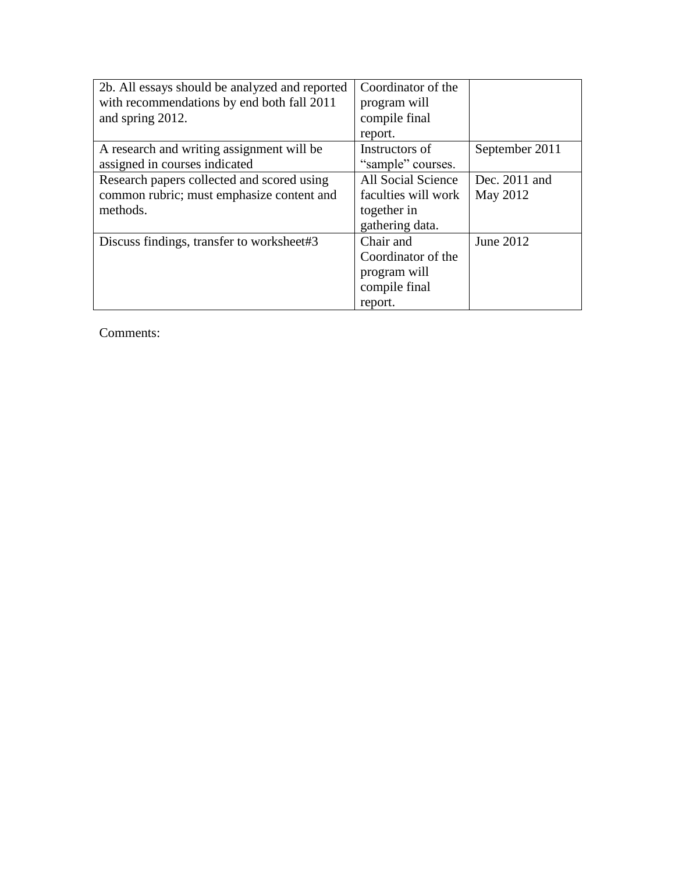| 2b. All essays should be analyzed and reported | Coordinator of the  |                |
|------------------------------------------------|---------------------|----------------|
| with recommendations by end both fall 2011     | program will        |                |
| and spring 2012.                               | compile final       |                |
|                                                | report.             |                |
| A research and writing assignment will be      | Instructors of      | September 2011 |
| assigned in courses indicated                  | "sample" courses.   |                |
| Research papers collected and scored using     | All Social Science  | Dec. 2011 and  |
| common rubric; must emphasize content and      | faculties will work | May 2012       |
| methods.                                       | together in         |                |
|                                                | gathering data.     |                |
| Discuss findings, transfer to worksheet#3      | Chair and           | June 2012      |
|                                                | Coordinator of the  |                |
|                                                | program will        |                |
|                                                | compile final       |                |
|                                                | report.             |                |

Comments: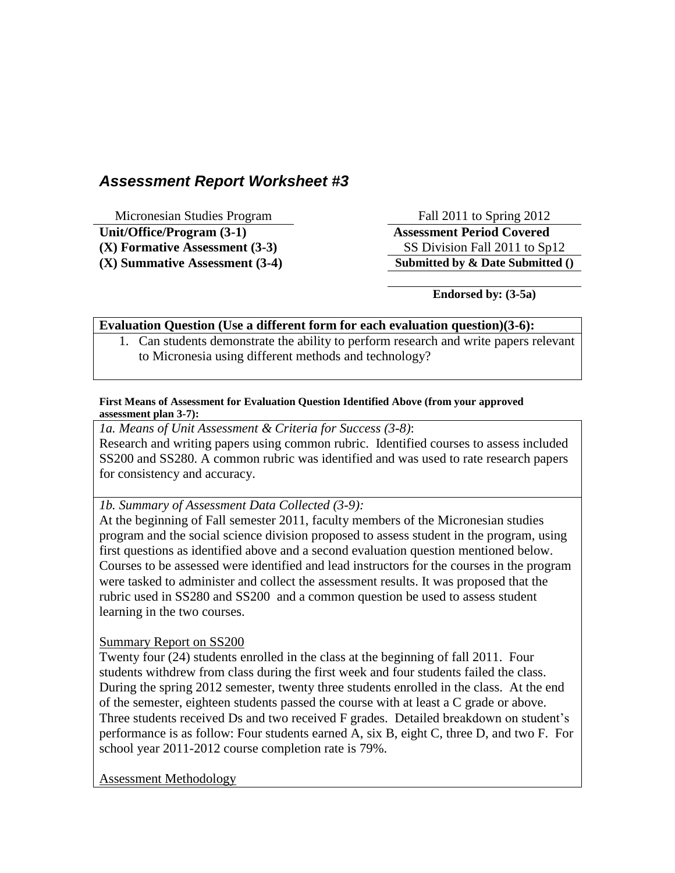# *Assessment Report Worksheet #3*

Micronesian Studies Program Fall 2011 to Spring 2012

**Unit/Office/Program (3-1) Assessment Period Covered (X) Formative Assessment (3-3)** SS Division Fall 2011 to Sp12 **(X) Summative Assessment (3-4) Submitted by & Date Submitted ()** 

**Endorsed by: (3-5a)**

### **Evaluation Question (Use a different form for each evaluation question)(3-6):**

1. Can students demonstrate the ability to perform research and write papers relevant to Micronesia using different methods and technology?

#### **First Means of Assessment for Evaluation Question Identified Above (from your approved assessment plan 3-7):**

*1a. Means of Unit Assessment & Criteria for Success (3-8)*: Research and writing papers using common rubric. Identified courses to assess included SS200 and SS280. A common rubric was identified and was used to rate research papers for consistency and accuracy.

# *1b. Summary of Assessment Data Collected (3-9):*

At the beginning of Fall semester 2011, faculty members of the Micronesian studies program and the social science division proposed to assess student in the program, using first questions as identified above and a second evaluation question mentioned below. Courses to be assessed were identified and lead instructors for the courses in the program were tasked to administer and collect the assessment results. It was proposed that the rubric used in SS280 and SS200 and a common question be used to assess student learning in the two courses.

Summary Report on SS200

Twenty four (24) students enrolled in the class at the beginning of fall 2011. Four students withdrew from class during the first week and four students failed the class. During the spring 2012 semester, twenty three students enrolled in the class. At the end of the semester, eighteen students passed the course with at least a C grade or above. Three students received Ds and two received F grades. Detailed breakdown on student's performance is as follow: Four students earned A, six B, eight C, three D, and two F. For school year 2011-2012 course completion rate is 79%.

Assessment Methodology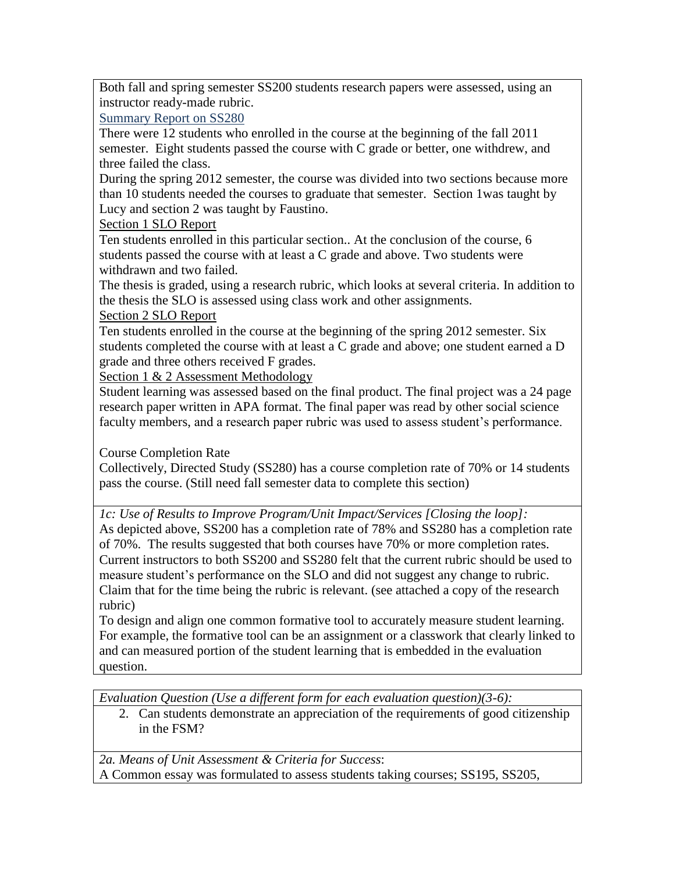Both fall and spring semester SS200 students research papers were assessed, using an instructor ready-made rubric.

Summary Report on SS280

There were 12 students who enrolled in the course at the beginning of the fall 2011 semester. Eight students passed the course with C grade or better, one withdrew, and three failed the class.

During the spring 2012 semester, the course was divided into two sections because more than 10 students needed the courses to graduate that semester. Section 1was taught by Lucy and section 2 was taught by Faustino.

Section 1 SLO Report

Ten students enrolled in this particular section.. At the conclusion of the course, 6 students passed the course with at least a C grade and above. Two students were withdrawn and two failed.

The thesis is graded, using a research rubric, which looks at several criteria. In addition to the thesis the SLO is assessed using class work and other assignments.

# Section 2 SLO Report

Ten students enrolled in the course at the beginning of the spring 2012 semester. Six students completed the course with at least a C grade and above; one student earned a D grade and three others received F grades.

Section 1 & 2 Assessment Methodology

Student learning was assessed based on the final product. The final project was a 24 page research paper written in APA format. The final paper was read by other social science faculty members, and a research paper rubric was used to assess student's performance.

Course Completion Rate

Collectively, Directed Study (SS280) has a course completion rate of 70% or 14 students pass the course. (Still need fall semester data to complete this section)

*1c: Use of Results to Improve Program/Unit Impact/Services [Closing the loop]:* As depicted above, SS200 has a completion rate of 78% and SS280 has a completion rate of 70%. The results suggested that both courses have 70% or more completion rates. Current instructors to both SS200 and SS280 felt that the current rubric should be used to measure student's performance on the SLO and did not suggest any change to rubric. Claim that for the time being the rubric is relevant. (see attached a copy of the research rubric)

To design and align one common formative tool to accurately measure student learning. For example, the formative tool can be an assignment or a classwork that clearly linked to and can measured portion of the student learning that is embedded in the evaluation question.

*Evaluation Question (Use a different form for each evaluation question)(3-6):*

2. Can students demonstrate an appreciation of the requirements of good citizenship in the FSM?

*2a. Means of Unit Assessment & Criteria for Success*: A Common essay was formulated to assess students taking courses; SS195, SS205,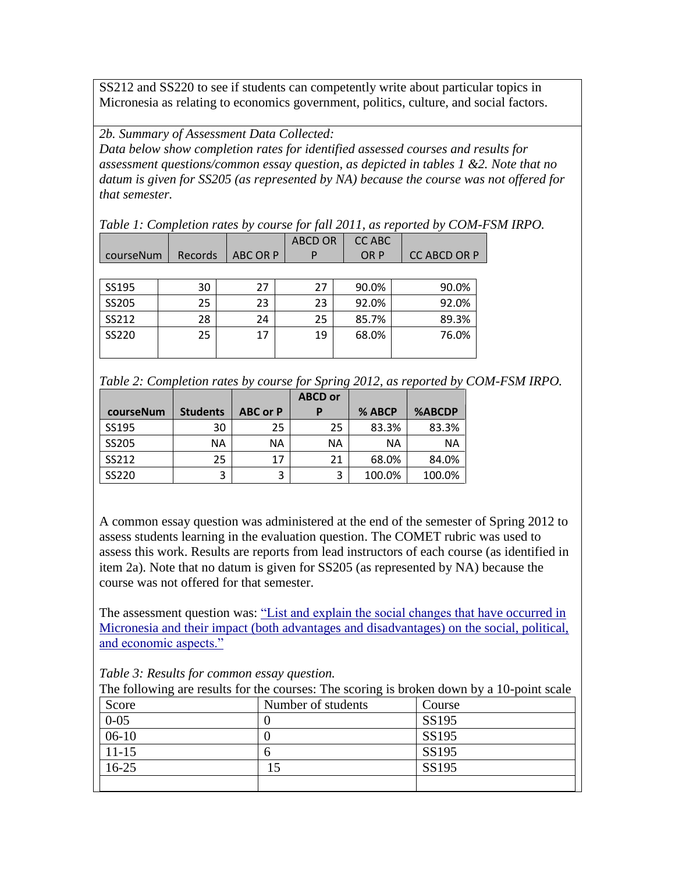SS212 and SS220 to see if students can competently write about particular topics in Micronesia as relating to economics government, politics, culture, and social factors.

*2b. Summary of Assessment Data Collected:*

*Data below show completion rates for identified assessed courses and results for assessment questions/common essay question, as depicted in tables 1 &2. Note that no datum is given for SS205 (as represented by NA) because the course was not offered for that semester.*

*Table 1: Completion rates by course for fall 2011, as reported by COM-FSM IRPO.*

|           |         |                 | <b>ABCD OR</b> | <b>CC ABC</b> |                     |
|-----------|---------|-----------------|----------------|---------------|---------------------|
| courseNum | Records | <b>ABC OR P</b> | P              | OR P          | <b>CC ABCD OR P</b> |
|           |         |                 |                |               |                     |
| SS195     | 30      | 27              | 27             | 90.0%         | 90.0%               |
| SS205     | 25      | 23              | 23             | 92.0%         | 92.0%               |
| SS212     | 28      | 24              | 25             | 85.7%         | 89.3%               |
| SS220     | 25      | 17              | 19             | 68.0%         | 76.0%               |

|  |  |  | Table 2: Completion rates by course for Spring 2012, as reported by COM-FSM IRPO. |
|--|--|--|-----------------------------------------------------------------------------------|
|  |  |  |                                                                                   |

|           |                 |                 | <b>ABCD or</b> |        |        |
|-----------|-----------------|-----------------|----------------|--------|--------|
| courseNum | <b>Students</b> | <b>ABC or P</b> | D              | % ABCP | %ABCDP |
| SS195     | 30              | 25              | 25             | 83.3%  | 83.3%  |
| SS205     | NΑ              | ΝA              | ΝA             | ΝA     | ΝA     |
| SS212     | 25              | 17              | 21             | 68.0%  | 84.0%  |
| SS220     | 3               | 3               | 3              | 100.0% | 100.0% |

A common essay question was administered at the end of the semester of Spring 2012 to assess students learning in the evaluation question. The COMET rubric was used to assess this work. Results are reports from lead instructors of each course (as identified in item 2a). Note that no datum is given for SS205 (as represented by NA) because the course was not offered for that semester.

The assessment question was: "List and explain the social changes that have occurred in Micronesia and their impact (both advantages and disadvantages) on the social, political, and economic aspects."

*Table 3: Results for common essay question.*

| Score     | Number of students | Course |
|-----------|--------------------|--------|
| $0 - 05$  |                    | SS195  |
| $06-10$   |                    | SS195  |
| $11 - 15$ | n                  | SS195  |
| $16 - 25$ |                    | SS195  |
|           |                    |        |